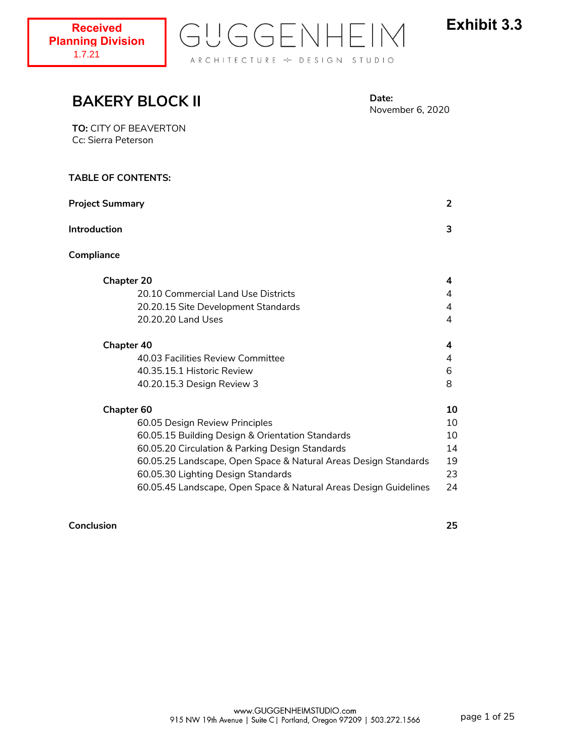

# **TABLE OF CONTENTS: Project Summary 2 Introduction 3 Compliance Chapter 20 4** 20.10 Commercial Land Use Districts 4 20.20.15 Site Development Standards 4 20.20.20 Land Uses 4 **Chapter 40 4** 40.03 Facilities Review Committee 4 40.35.15.1 Historic Review 6 40.20.15.3 Design Review 3 8 **Chapter 60 10** 60.05 Design Review Principles 10 60.05.15 Building Design & Orientation Standards 10 60.05.20 Circulation & Parking Design Standards 14 60.05.25 Landscape, Open Space & Natural Areas Design Standards 19 60.05.30 Lighting Design Standards 23 60.05.45 Landscape, Open Space & Natural Areas Design Guidelines 24 **BAKERY BLOCK II Date:** November 6, 2020 **TO:** CITY OF BEAVERTON Cc: Sierra Peterson

# **Conclusion 25**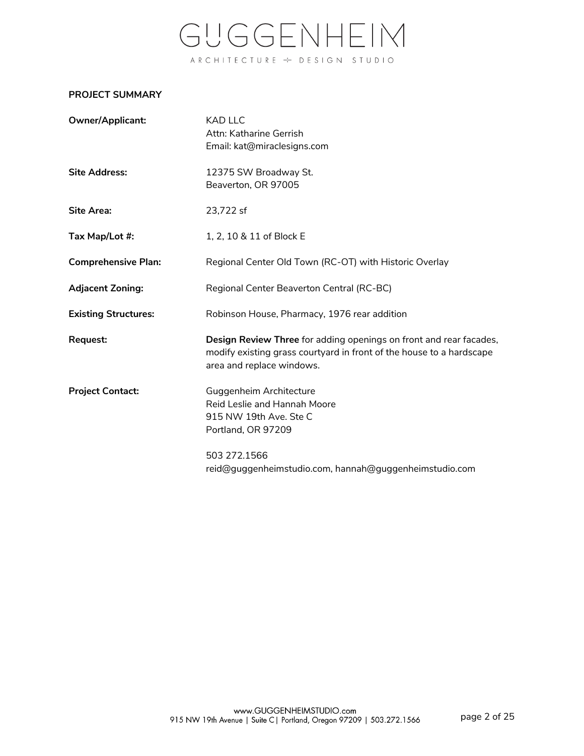# **PROJECT SUMMARY**

| Owner/Applicant:            | KAD LLC<br>Attn: Katharine Gerrish<br>Email: kat@miraclesigns.com                                                                                                       |
|-----------------------------|-------------------------------------------------------------------------------------------------------------------------------------------------------------------------|
| <b>Site Address:</b>        | 12375 SW Broadway St.<br>Beaverton, OR 97005                                                                                                                            |
| Site Area:                  | 23,722 sf                                                                                                                                                               |
| Tax Map/Lot #:              | 1, 2, 10 & 11 of Block E                                                                                                                                                |
| <b>Comprehensive Plan:</b>  | Regional Center Old Town (RC-OT) with Historic Overlay                                                                                                                  |
| <b>Adjacent Zoning:</b>     | Regional Center Beaverton Central (RC-BC)                                                                                                                               |
| <b>Existing Structures:</b> | Robinson House, Pharmacy, 1976 rear addition                                                                                                                            |
| Request:                    | Design Review Three for adding openings on front and rear facades,<br>modify existing grass courtyard in front of the house to a hardscape<br>area and replace windows. |
| <b>Project Contact:</b>     | Guggenheim Architecture<br>Reid Leslie and Hannah Moore<br>915 NW 19th Ave. Ste C<br>Portland, OR 97209                                                                 |
|                             | 503 272.1566<br>reid@guggenheimstudio.com, hannah@guggenheimstudio.com                                                                                                  |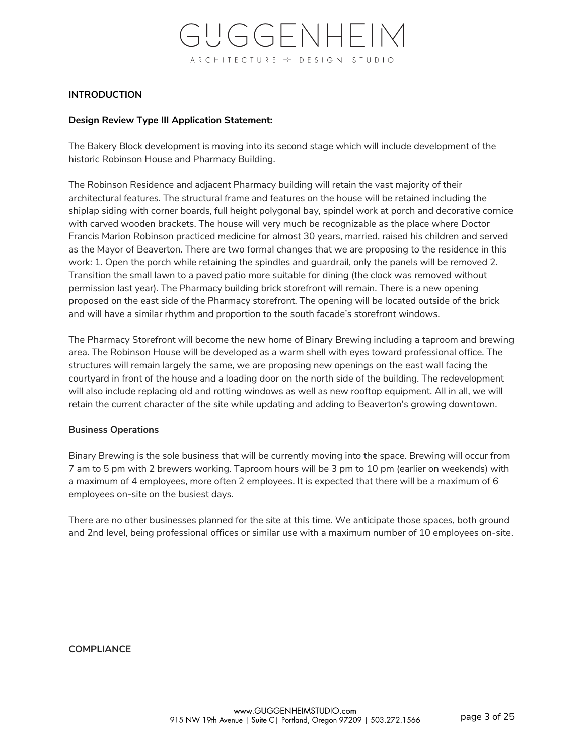# **INTRODUCTION**

# **Design Review Type III Application Statement:**

The Bakery Block development is moving into its second stage which will include development of the historic Robinson House and Pharmacy Building.

The Robinson Residence and adjacent Pharmacy building will retain the vast majority of their architectural features. The structural frame and features on the house will be retained including the shiplap siding with corner boards, full height polygonal bay, spindel work at porch and decorative cornice with carved wooden brackets. The house will very much be recognizable as the place where Doctor Francis Marion Robinson practiced medicine for almost 30 years, married, raised his children and served as the Mayor of Beaverton. There are two formal changes that we are proposing to the residence in this work: 1. Open the porch while retaining the spindles and guardrail, only the panels will be removed 2. Transition the small lawn to a paved patio more suitable for dining (the clock was removed without permission last year). The Pharmacy building brick storefront will remain. There is a new opening proposed on the east side of the Pharmacy storefront. The opening will be located outside of the brick and will have a similar rhythm and proportion to the south facade's storefront windows.

The Pharmacy Storefront will become the new home of Binary Brewing including a taproom and brewing area. The Robinson House will be developed as a warm shell with eyes toward professional office. The structures will remain largely the same, we are proposing new openings on the east wall facing the courtyard in front of the house and a loading door on the north side of the building. The redevelopment will also include replacing old and rotting windows as well as new rooftop equipment. All in all, we will retain the current character of the site while updating and adding to Beaverton's growing downtown.

# **Business Operations**

Binary Brewing is the sole business that will be currently moving into the space. Brewing will occur from 7 am to 5 pm with 2 brewers working. Taproom hours will be 3 pm to 10 pm (earlier on weekends) with a maximum of 4 employees, more often 2 employees. It is expected that there will be a maximum of 6 employees on-site on the busiest days.

There are no other businesses planned for the site at this time. We anticipate those spaces, both ground and 2nd level, being professional offices or similar use with a maximum number of 10 employees on-site.

**COMPLIANCE**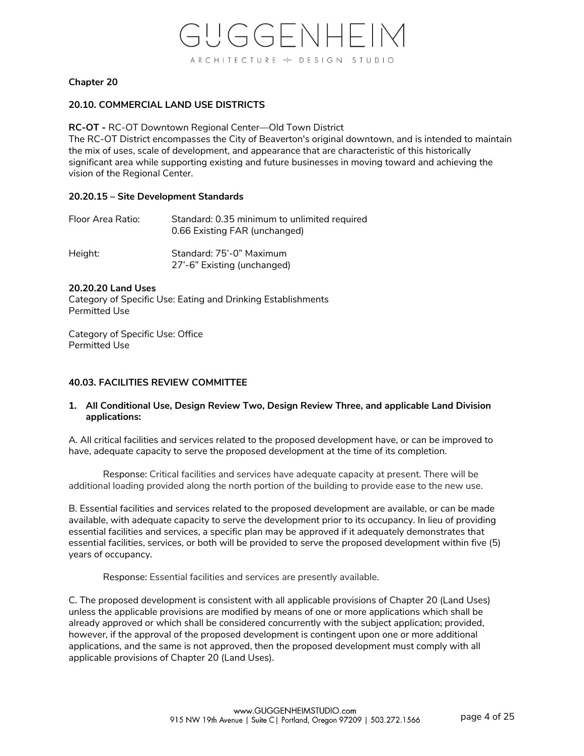# **Chapter 20**

# **20.10. COMMERCIAL LAND USE DISTRICTS**

**RC-OT -** RC-OT Downtown Regional Center—Old Town District

The RC-OT District encompasses the City of Beaverton's original downtown, and is intended to maintain the mix of uses, scale of development, and appearance that are characteristic of this historically significant area while supporting existing and future businesses in moving toward and achieving the vision of the Regional Center.

#### **20.20.15 – Site Development Standards**

| Floor Area Ratio: | Standard: 0.35 minimum to unlimited required<br>0.66 Existing FAR (unchanged) |
|-------------------|-------------------------------------------------------------------------------|
| Height:           | Standard: 75'-0" Maximum<br>27'-6" Existing (unchanged)                       |

#### **20.20.20 Land Uses**

Category of Specific Use: Eating and Drinking Establishments Permitted Use

Category of Specific Use: Office Permitted Use

# **40.03. FACILITIES REVIEW COMMITTEE**

# **1. All Conditional Use, Design Review Two, Design Review Three, and applicable Land Division applications:**

A. All critical facilities and services related to the proposed development have, or can be improved to have, adequate capacity to serve the proposed development at the time of its completion.

Response: Critical facilities and services have adequate capacity at present. There will be additional loading provided along the north portion of the building to provide ease to the new use.

B. Essential facilities and services related to the proposed development are available, or can be made available, with adequate capacity to serve the development prior to its occupancy. In lieu of providing essential facilities and services, a specific plan may be approved if it adequately demonstrates that essential facilities, services, or both will be provided to serve the proposed development within five (5) years of occupancy.

Response: Essential facilities and services are presently available.

C. The proposed development is consistent with all applicable provisions of Chapter 20 (Land Uses) unless the applicable provisions are modified by means of one or more applications which shall be already approved or which shall be considered concurrently with the subject application; provided, however, if the approval of the proposed development is contingent upon one or more additional applications, and the same is not approved, then the proposed development must comply with all applicable provisions of Chapter 20 (Land Uses).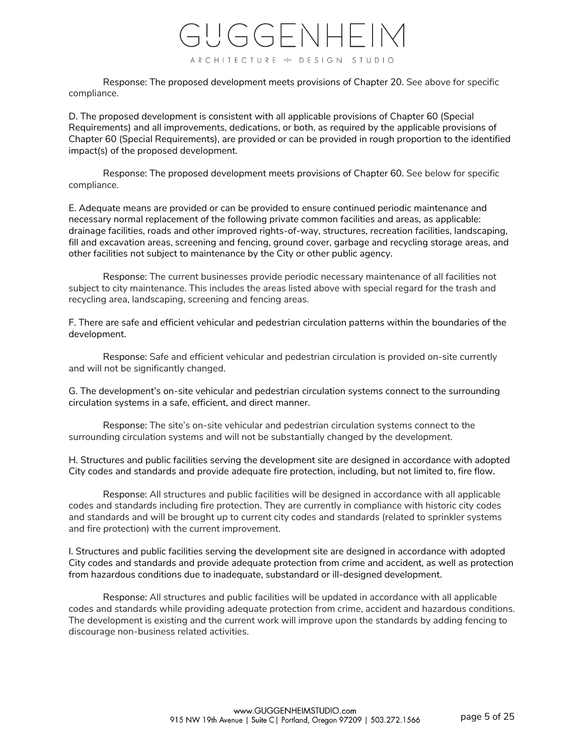Response: The proposed development meets provisions of Chapter 20. See above for specific compliance.

D. The proposed development is consistent with all applicable provisions of Chapter 60 (Special Requirements) and all improvements, dedications, or both, as required by the applicable provisions of Chapter 60 (Special Requirements), are provided or can be provided in rough proportion to the identified impact(s) of the proposed development.

Response: The proposed development meets provisions of Chapter 60. See below for specific compliance.

E. Adequate means are provided or can be provided to ensure continued periodic maintenance and necessary normal replacement of the following private common facilities and areas, as applicable: drainage facilities, roads and other improved rights-of-way, structures, recreation facilities, landscaping, fill and excavation areas, screening and fencing, ground cover, garbage and recycling storage areas, and other facilities not subject to maintenance by the City or other public agency.

Response: The current businesses provide periodic necessary maintenance of all facilities not subject to city maintenance. This includes the areas listed above with special regard for the trash and recycling area, landscaping, screening and fencing areas.

F. There are safe and efficient vehicular and pedestrian circulation patterns within the boundaries of the development.

Response: Safe and efficient vehicular and pedestrian circulation is provided on-site currently and will not be significantly changed.

G. The development's on-site vehicular and pedestrian circulation systems connect to the surrounding circulation systems in a safe, efficient, and direct manner.

Response: The site's on-site vehicular and pedestrian circulation systems connect to the surrounding circulation systems and will not be substantially changed by the development.

H. Structures and public facilities serving the development site are designed in accordance with adopted City codes and standards and provide adequate fire protection, including, but not limited to, fire flow.

Response: All structures and public facilities will be designed in accordance with all applicable codes and standards including fire protection. They are currently in compliance with historic city codes and standards and will be brought up to current city codes and standards (related to sprinkler systems and fire protection) with the current improvement.

I. Structures and public facilities serving the development site are designed in accordance with adopted City codes and standards and provide adequate protection from crime and accident, as well as protection from hazardous conditions due to inadequate, substandard or ill-designed development.

Response: All structures and public facilities will be updated in accordance with all applicable codes and standards while providing adequate protection from crime, accident and hazardous conditions. The development is existing and the current work will improve upon the standards by adding fencing to discourage non-business related activities.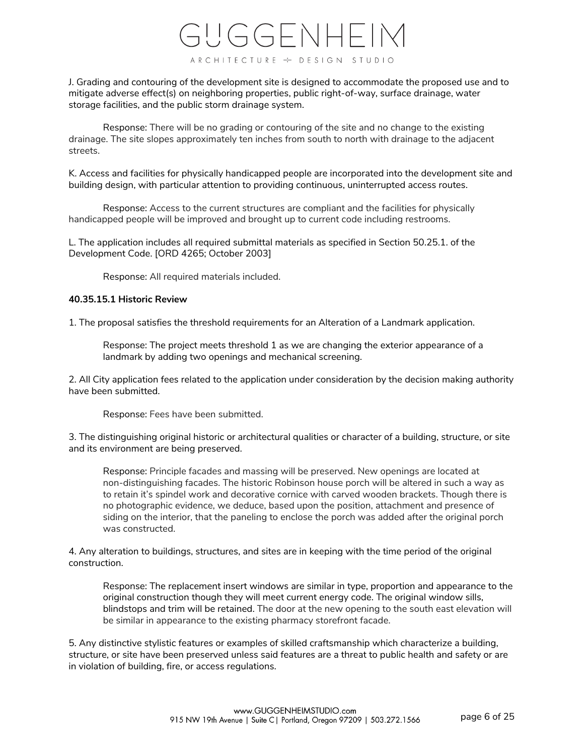J. Grading and contouring of the development site is designed to accommodate the proposed use and to mitigate adverse effect(s) on neighboring properties, public right-of-way, surface drainage, water storage facilities, and the public storm drainage system.

Response: There will be no grading or contouring of the site and no change to the existing drainage. The site slopes approximately ten inches from south to north with drainage to the adjacent streets.

K. Access and facilities for physically handicapped people are incorporated into the development site and building design, with particular attention to providing continuous, uninterrupted access routes.

Response: Access to the current structures are compliant and the facilities for physically handicapped people will be improved and brought up to current code including restrooms.

L. The application includes all required submittal materials as specified in Section 50.25.1. of the Development Code. [ORD 4265; October 2003]

Response: All required materials included.

#### **40.35.15.1 Historic Review**

1. The proposal satisfies the threshold requirements for an Alteration of a Landmark application.

Response: The project meets threshold 1 as we are changing the exterior appearance of a landmark by adding two openings and mechanical screening.

2. All City application fees related to the application under consideration by the decision making authority have been submitted.

Response: Fees have been submitted.

3. The distinguishing original historic or architectural qualities or character of a building, structure, or site and its environment are being preserved.

Response: Principle facades and massing will be preserved. New openings are located at non-distinguishing facades. The historic Robinson house porch will be altered in such a way as to retain it's spindel work and decorative cornice with carved wooden brackets. Though there is no photographic evidence, we deduce, based upon the position, attachment and presence of siding on the interior, that the paneling to enclose the porch was added after the original porch was constructed.

4. Any alteration to buildings, structures, and sites are in keeping with the time period of the original construction.

Response: The replacement insert windows are similar in type, proportion and appearance to the original construction though they will meet current energy code. The original window sills, blindstops and trim will be retained. The door at the new opening to the south east elevation will be similar in appearance to the existing pharmacy storefront facade.

5. Any distinctive stylistic features or examples of skilled craftsmanship which characterize a building, structure, or site have been preserved unless said features are a threat to public health and safety or are in violation of building, fire, or access regulations.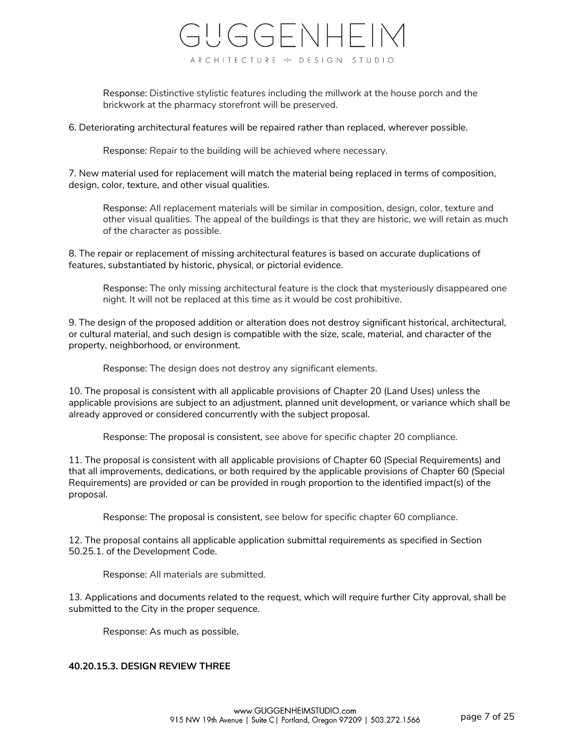Response: Distinctive stylistic features including the millwork at the house porch and the brickwork at the pharmacy storefront will be preserved.

6. Deteriorating architectural features will be repaired rather than replaced, wherever possible.

Response: Repair to the building will be achieved where necessary.

7. New material used for replacement will match the material being replaced in terms of composition, design, color, texture, and other visual qualities.

Response: All replacement materials will be similar in composition, design, color, texture and other visual qualities. The appeal of the buildings is that they are historic, we will retain as much of the character as possible.

8. The repair or replacement of missing architectural features is based on accurate duplications of features, substantiated by historic, physical, or pictorial evidence.

Response: The only missing architectural feature is the clock that mysteriously disappeared one night. It will not be replaced at this time as it would be cost prohibitive.

9. The design of the proposed addition or alteration does not destroy significant historical, architectural, or cultural material, and such design is compatible with the size, scale, material, and character of the property, neighborhood, or environment.

Response: The design does not destroy any significant elements.

10. The proposal is consistent with all applicable provisions of Chapter 20 (Land Uses) unless the applicable provisions are subject to an adjustment, planned unit development, or variance which shall be already approved or considered concurrently with the subject proposal.

Response: The proposal is consistent, see above for specific chapter 20 compliance.

11. The proposal is consistent with all applicable provisions of Chapter 60 (Special Requirements) and that all improvements, dedications, or both required by the applicable provisions of Chapter 60 (Special Requirements) are provided or can be provided in rough proportion to the identified impact(s) of the proposal.

Response: The proposal is consistent, see below for specific chapter 60 compliance.

12. The proposal contains all applicable application submittal requirements as specified in Section 50.25.1. of the Development Code.

Response: All materials are submitted.

13. Applications and documents related to the request, which will require further City approval, shall be submitted to the City in the proper sequence.

Response: As much as possible.

# **40.20.15.3. DESIGN REVIEW THREE**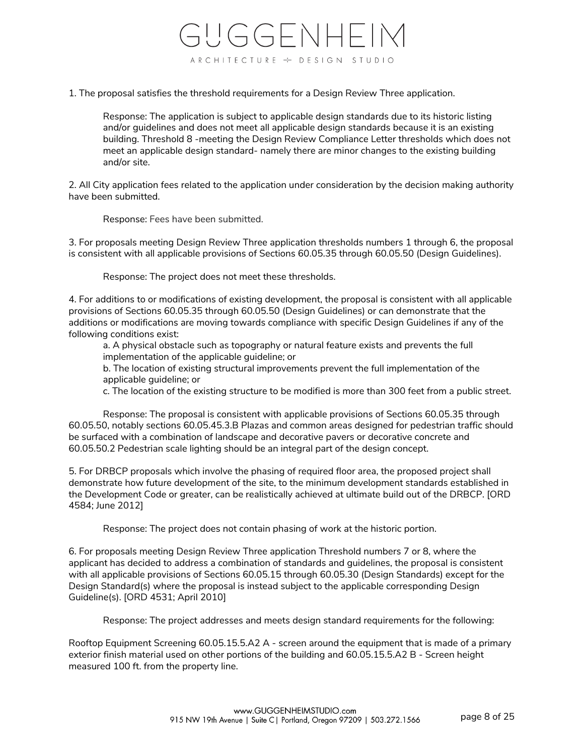1. The proposal satisfies the threshold requirements for a Design Review Three application.

Response: The application is subject to applicable design standards due to its historic listing and/or guidelines and does not meet all applicable design standards because it is an existing building. Threshold 8 -meeting the Design Review Compliance Letter thresholds which does not meet an applicable design standard- namely there are minor changes to the existing building and/or site.

2. All City application fees related to the application under consideration by the decision making authority have been submitted.

Response: Fees have been submitted.

3. For proposals meeting Design Review Three application thresholds numbers 1 through 6, the proposal is consistent with all applicable provisions of Sections 60.05.35 through 60.05.50 (Design Guidelines).

Response: The project does not meet these thresholds.

4. For additions to or modifications of existing development, the proposal is consistent with all applicable provisions of Sections 60.05.35 through 60.05.50 (Design Guidelines) or can demonstrate that the additions or modifications are moving towards compliance with specific Design Guidelines if any of the following conditions exist:

a. A physical obstacle such as topography or natural feature exists and prevents the full implementation of the applicable guideline; or

b. The location of existing structural improvements prevent the full implementation of the applicable guideline; or

c. The location of the existing structure to be modified is more than 300 feet from a public street.

Response: The proposal is consistent with applicable provisions of Sections 60.05.35 through 60.05.50, notably sections 60.05.45.3.B Plazas and common areas designed for pedestrian traffic should be surfaced with a combination of landscape and decorative pavers or decorative concrete and 60.05.50.2 Pedestrian scale lighting should be an integral part of the design concept.

5. For DRBCP proposals which involve the phasing of required floor area, the proposed project shall demonstrate how future development of the site, to the minimum development standards established in the Development Code or greater, can be realistically achieved at ultimate build out of the DRBCP. [ORD 4584; June 2012]

Response: The project does not contain phasing of work at the historic portion.

6. For proposals meeting Design Review Three application Threshold numbers 7 or 8, where the applicant has decided to address a combination of standards and guidelines, the proposal is consistent with all applicable provisions of Sections 60.05.15 through 60.05.30 (Design Standards) except for the Design Standard(s) where the proposal is instead subject to the applicable corresponding Design Guideline(s). [ORD 4531; April 2010]

Response: The project addresses and meets design standard requirements for the following:

Rooftop Equipment Screening 60.05.15.5.A2 A - screen around the equipment that is made of a primary exterior finish material used on other portions of the building and 60.05.15.5.A2 B - Screen height measured 100 ft. from the property line.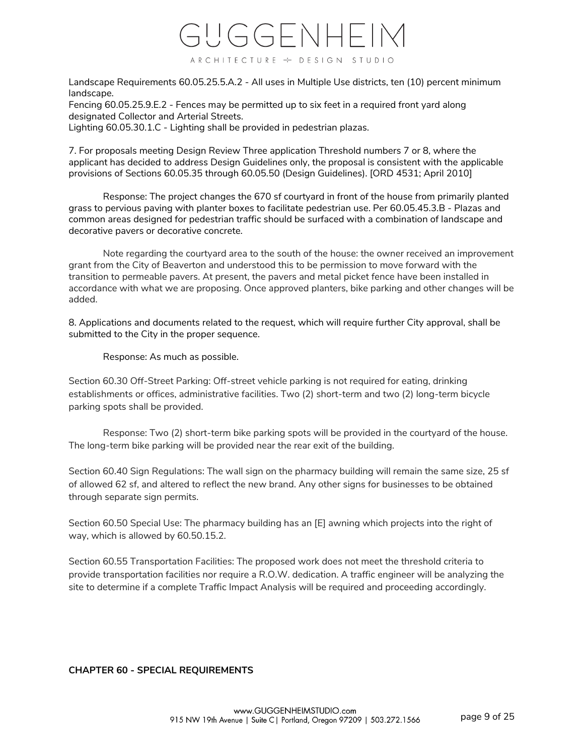

Landscape Requirements 60.05.25.5.A.2 - All uses in Multiple Use districts, ten (10) percent minimum landscape.

Fencing 60.05.25.9.E.2 - Fences may be permitted up to six feet in a required front yard along designated Collector and Arterial Streets.

Lighting 60.05.30.1.C - Lighting shall be provided in pedestrian plazas.

7. For proposals meeting Design Review Three application Threshold numbers 7 or 8, where the applicant has decided to address Design Guidelines only, the proposal is consistent with the applicable provisions of Sections 60.05.35 through 60.05.50 (Design Guidelines). [ORD 4531; April 2010]

Response: The project changes the 670 sf courtyard in front of the house from primarily planted grass to pervious paving with planter boxes to facilitate pedestrian use. Per 60.05.45.3.B - Plazas and common areas designed for pedestrian traffic should be surfaced with a combination of landscape and decorative pavers or decorative concrete.

Note regarding the courtyard area to the south of the house: the owner received an improvement grant from the City of Beaverton and understood this to be permission to move forward with the transition to permeable pavers. At present, the pavers and metal picket fence have been installed in accordance with what we are proposing. Once approved planters, bike parking and other changes will be added.

8. Applications and documents related to the request, which will require further City approval, shall be submitted to the City in the proper sequence.

Response: As much as possible.

Section 60.30 Off-Street Parking: Off-street vehicle parking is not required for eating, drinking establishments or offices, administrative facilities. Two (2) short-term and two (2) long-term bicycle parking spots shall be provided.

Response: Two (2) short-term bike parking spots will be provided in the courtyard of the house. The long-term bike parking will be provided near the rear exit of the building.

Section 60.40 Sign Regulations: The wall sign on the pharmacy building will remain the same size, 25 sf of allowed 62 sf, and altered to reflect the new brand. Any other signs for businesses to be obtained through separate sign permits.

Section 60.50 Special Use: The pharmacy building has an [E] awning which projects into the right of way, which is allowed by 60.50.15.2.

Section 60.55 Transportation Facilities: The proposed work does not meet the threshold criteria to provide transportation facilities nor require a R.O.W. dedication. A traffic engineer will be analyzing the site to determine if a complete Traffic Impact Analysis will be required and proceeding accordingly.

# **CHAPTER 60 - SPECIAL REQUIREMENTS**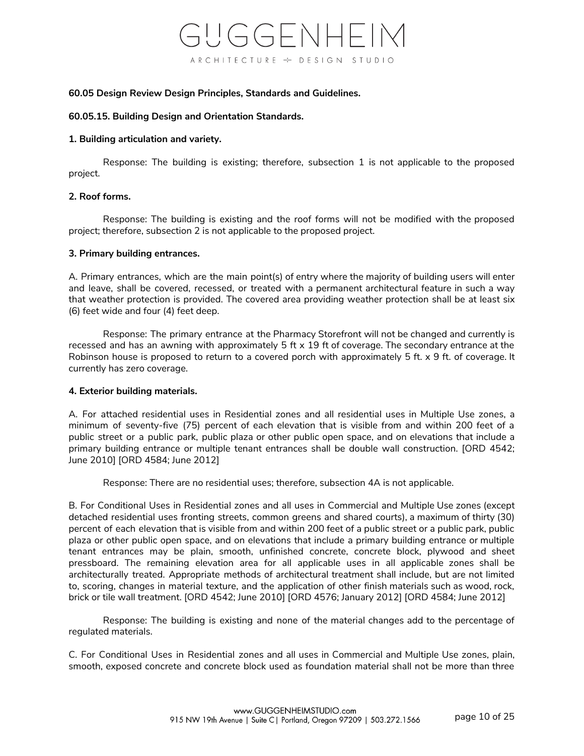#### **60.05 Design Review Design Principles, Standards and Guidelines.**

#### **60.05.15. Building Design and Orientation Standards.**

### **1. Building articulation and variety.**

Response: The building is existing; therefore, subsection 1 is not applicable to the proposed project.

#### **2. Roof forms.**

Response: The building is existing and the roof forms will not be modified with the proposed project; therefore, subsection 2 is not applicable to the proposed project.

#### **3. Primary building entrances.**

A. Primary entrances, which are the main point(s) of entry where the majority of building users will enter and leave, shall be covered, recessed, or treated with a permanent architectural feature in such a way that weather protection is provided. The covered area providing weather protection shall be at least six (6) feet wide and four (4) feet deep.

Response: The primary entrance at the Pharmacy Storefront will not be changed and currently is recessed and has an awning with approximately  $5 \text{ ft} \times 19 \text{ ft}$  of coverage. The secondary entrance at the Robinson house is proposed to return to a covered porch with approximately 5 ft. x 9 ft. of coverage. It currently has zero coverage.

# **4. Exterior building materials.**

A. For attached residential uses in Residential zones and all residential uses in Multiple Use zones, a minimum of seventy-five (75) percent of each elevation that is visible from and within 200 feet of a public street or a public park, public plaza or other public open space, and on elevations that include a primary building entrance or multiple tenant entrances shall be double wall construction. [ORD 4542; June 2010] [ORD 4584; June 2012]

Response: There are no residential uses; therefore, subsection 4A is not applicable.

B. For Conditional Uses in Residential zones and all uses in Commercial and Multiple Use zones (except detached residential uses fronting streets, common greens and shared courts), a maximum of thirty (30) percent of each elevation that is visible from and within 200 feet of a public street or a public park, public plaza or other public open space, and on elevations that include a primary building entrance or multiple tenant entrances may be plain, smooth, unfinished concrete, concrete block, plywood and sheet pressboard. The remaining elevation area for all applicable uses in all applicable zones shall be architecturally treated. Appropriate methods of architectural treatment shall include, but are not limited to, scoring, changes in material texture, and the application of other finish materials such as wood, rock, brick or tile wall treatment. [ORD 4542; June 2010] [ORD 4576; January 2012] [ORD 4584; June 2012]

Response: The building is existing and none of the material changes add to the percentage of regulated materials.

C. For Conditional Uses in Residential zones and all uses in Commercial and Multiple Use zones, plain, smooth, exposed concrete and concrete block used as foundation material shall not be more than three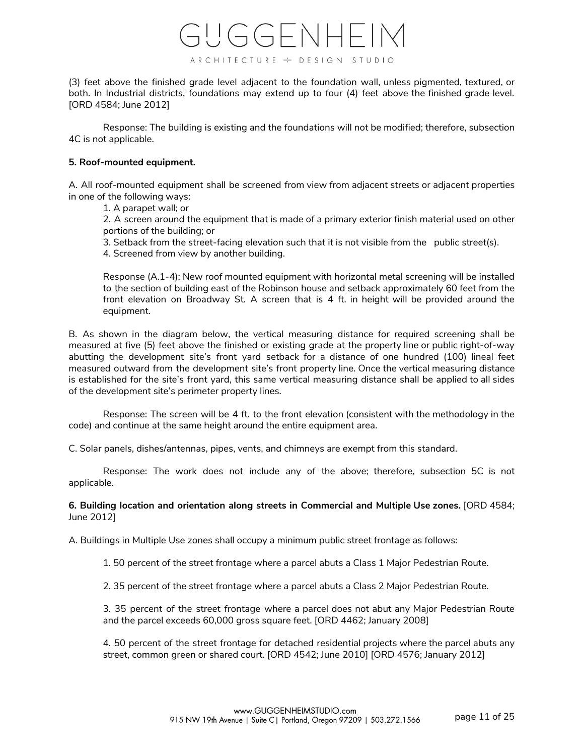

(3) feet above the finished grade level adjacent to the foundation wall, unless pigmented, textured, or both. In Industrial districts, foundations may extend up to four (4) feet above the finished grade level. [ORD 4584; June 2012]

Response: The building is existing and the foundations will not be modified; therefore, subsection 4C is not applicable.

# **5. Roof-mounted equipment.**

A. All roof-mounted equipment shall be screened from view from adjacent streets or adjacent properties in one of the following ways:

1. A parapet wall; or

2. A screen around the equipment that is made of a primary exterior finish material used on other portions of the building; or

3. Setback from the street-facing elevation such that it is not visible from the public street(s). 4. Screened from view by another building.

Response (A.1-4): New roof mounted equipment with horizontal metal screening will be installed to the section of building east of the Robinson house and setback approximately 60 feet from the front elevation on Broadway St. A screen that is 4 ft. in height will be provided around the equipment.

B. As shown in the diagram below, the vertical measuring distance for required screening shall be measured at five (5) feet above the finished or existing grade at the property line or public right-of-way abutting the development site's front yard setback for a distance of one hundred (100) lineal feet measured outward from the development site's front property line. Once the vertical measuring distance is established for the site's front yard, this same vertical measuring distance shall be applied to all sides of the development site's perimeter property lines.

Response: The screen will be 4 ft. to the front elevation (consistent with the methodology in the code) and continue at the same height around the entire equipment area.

C. Solar panels, dishes/antennas, pipes, vents, and chimneys are exempt from this standard.

Response: The work does not include any of the above; therefore, subsection 5C is not applicable.

**6. Building location and orientation along streets in Commercial and Multiple Use zones.** [ORD 4584; June 2012]

A. Buildings in Multiple Use zones shall occupy a minimum public street frontage as follows:

1. 50 percent of the street frontage where a parcel abuts a Class 1 Major Pedestrian Route.

2. 35 percent of the street frontage where a parcel abuts a Class 2 Major Pedestrian Route.

3. 35 percent of the street frontage where a parcel does not abut any Major Pedestrian Route and the parcel exceeds 60,000 gross square feet. [ORD 4462; January 2008]

4. 50 percent of the street frontage for detached residential projects where the parcel abuts any street, common green or shared court. [ORD 4542; June 2010] [ORD 4576; January 2012]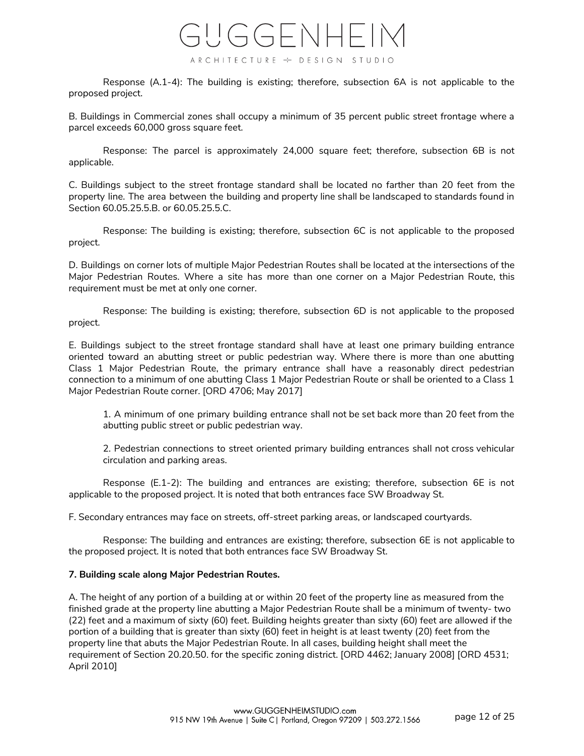

Response (A.1-4): The building is existing; therefore, subsection 6A is not applicable to the proposed project.

B. Buildings in Commercial zones shall occupy a minimum of 35 percent public street frontage where a parcel exceeds 60,000 gross square feet.

Response: The parcel is approximately 24,000 square feet; therefore, subsection 6B is not applicable.

C. Buildings subject to the street frontage standard shall be located no farther than 20 feet from the property line. The area between the building and property line shall be landscaped to standards found in Section 60.05.25.5.B. or 60.05.25.5.C.

Response: The building is existing; therefore, subsection 6C is not applicable to the proposed project.

D. Buildings on corner lots of multiple Major Pedestrian Routes shall be located at the intersections of the Major Pedestrian Routes. Where a site has more than one corner on a Major Pedestrian Route, this requirement must be met at only one corner.

Response: The building is existing; therefore, subsection 6D is not applicable to the proposed project.

E. Buildings subject to the street frontage standard shall have at least one primary building entrance oriented toward an abutting street or public pedestrian way. Where there is more than one abutting Class 1 Major Pedestrian Route, the primary entrance shall have a reasonably direct pedestrian connection to a minimum of one abutting Class 1 Major Pedestrian Route or shall be oriented to a Class 1 Major Pedestrian Route corner. [ORD 4706; May 2017]

1. A minimum of one primary building entrance shall not be set back more than 20 feet from the abutting public street or public pedestrian way.

2. Pedestrian connections to street oriented primary building entrances shall not cross vehicular circulation and parking areas.

Response (E.1-2): The building and entrances are existing; therefore, subsection 6E is not applicable to the proposed project. It is noted that both entrances face SW Broadway St.

F. Secondary entrances may face on streets, off-street parking areas, or landscaped courtyards.

Response: The building and entrances are existing; therefore, subsection 6E is not applicable to the proposed project. It is noted that both entrances face SW Broadway St.

# **7. Building scale along Major Pedestrian Routes.**

A. The height of any portion of a building at or within 20 feet of the property line as measured from the finished grade at the property line abutting a Major Pedestrian Route shall be a minimum of twenty- two (22) feet and a maximum of sixty (60) feet. Building heights greater than sixty (60) feet are allowed if the portion of a building that is greater than sixty (60) feet in height is at least twenty (20) feet from the property line that abuts the Major Pedestrian Route. In all cases, building height shall meet the requirement of Section 20.20.50. for the specific zoning district. [ORD 4462; January 2008] [ORD 4531; April 2010]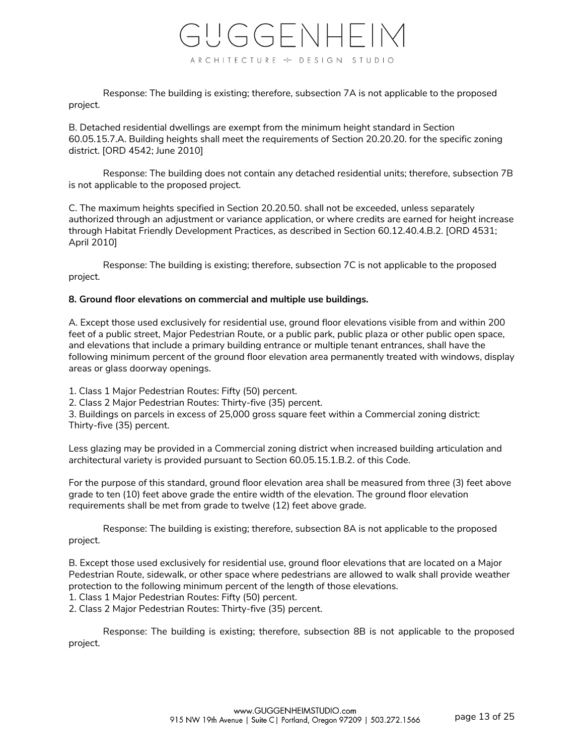

Response: The building is existing; therefore, subsection 7A is not applicable to the proposed project.

B. Detached residential dwellings are exempt from the minimum height standard in Section 60.05.15.7.A. Building heights shall meet the requirements of Section 20.20.20. for the specific zoning district. [ORD 4542; June 2010]

Response: The building does not contain any detached residential units; therefore, subsection 7B is not applicable to the proposed project.

C. The maximum heights specified in Section 20.20.50. shall not be exceeded, unless separately authorized through an adjustment or variance application, or where credits are earned for height increase through Habitat Friendly Development Practices, as described in Section 60.12.40.4.B.2. [ORD 4531; April 2010]

Response: The building is existing; therefore, subsection 7C is not applicable to the proposed project.

# **8. Ground floor elevations on commercial and multiple use buildings.**

A. Except those used exclusively for residential use, ground floor elevations visible from and within 200 feet of a public street, Major Pedestrian Route, or a public park, public plaza or other public open space, and elevations that include a primary building entrance or multiple tenant entrances, shall have the following minimum percent of the ground floor elevation area permanently treated with windows, display areas or glass doorway openings.

1. Class 1 Major Pedestrian Routes: Fifty (50) percent.

2. Class 2 Major Pedestrian Routes: Thirty-five (35) percent.

3. Buildings on parcels in excess of 25,000 gross square feet within a Commercial zoning district: Thirty-five (35) percent.

Less glazing may be provided in a Commercial zoning district when increased building articulation and architectural variety is provided pursuant to Section 60.05.15.1.B.2. of this Code.

For the purpose of this standard, ground floor elevation area shall be measured from three (3) feet above grade to ten (10) feet above grade the entire width of the elevation. The ground floor elevation requirements shall be met from grade to twelve (12) feet above grade.

Response: The building is existing; therefore, subsection 8A is not applicable to the proposed project.

B. Except those used exclusively for residential use, ground floor elevations that are located on a Major Pedestrian Route, sidewalk, or other space where pedestrians are allowed to walk shall provide weather protection to the following minimum percent of the length of those elevations.

1. Class 1 Major Pedestrian Routes: Fifty (50) percent.

2. Class 2 Major Pedestrian Routes: Thirty-five (35) percent.

Response: The building is existing; therefore, subsection 8B is not applicable to the proposed project.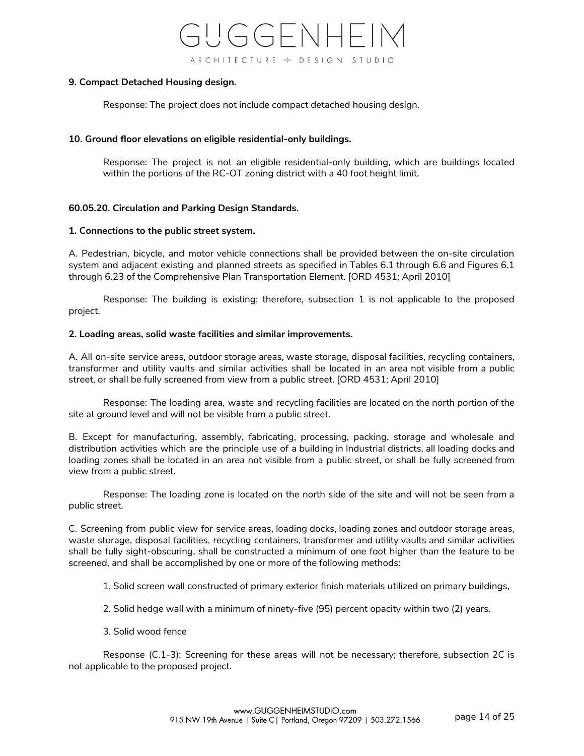

#### **9. Compact Detached Housing design.**

Response: The project does not include compact detached housing design.

### **10. Ground floor elevations on eligible residential-only buildings.**

Response: The project is not an eligible residential-only building, which are buildings located within the portions of the RC-OT zoning district with a 40 foot height limit.

# **60.05.20. Circulation and Parking Design Standards.**

#### **1. Connections to the public street system.**

A. Pedestrian, bicycle, and motor vehicle connections shall be provided between the on-site circulation system and adjacent existing and planned streets as specified in Tables 6.1 through 6.6 and Figures 6.1 through 6.23 of the Comprehensive Plan Transportation Element. [ORD 4531; April 2010]

Response: The building is existing; therefore, subsection 1 is not applicable to the proposed project.

#### **2. Loading areas, solid waste facilities and similar improvements.**

A. All on-site service areas, outdoor storage areas, waste storage, disposal facilities, recycling containers, transformer and utility vaults and similar activities shall be located in an area not visible from a public street, or shall be fully screened from view from a public street. [ORD 4531; April 2010]

Response: The loading area, waste and recycling facilities are located on the north portion of the site at ground level and will not be visible from a public street.

B. Except for manufacturing, assembly, fabricating, processing, packing, storage and wholesale and distribution activities which are the principle use of a building in Industrial districts, all loading docks and loading zones shall be located in an area not visible from a public street, or shall be fully screened from view from a public street.

Response: The loading zone is located on the north side of the site and will not be seen from a public street.

C. Screening from public view for service areas, loading docks, loading zones and outdoor storage areas, waste storage, disposal facilities, recycling containers, transformer and utility vaults and similar activities shall be fully sight-obscuring, shall be constructed a minimum of one foot higher than the feature to be screened, and shall be accomplished by one or more of the following methods:

1. Solid screen wall constructed of primary exterior finish materials utilized on primary buildings,

2. Solid hedge wall with a minimum of ninety-five (95) percent opacity within two (2) years.

3. Solid wood fence

Response (C.1-3): Screening for these areas will not be necessary; therefore, subsection 2C is not applicable to the proposed project.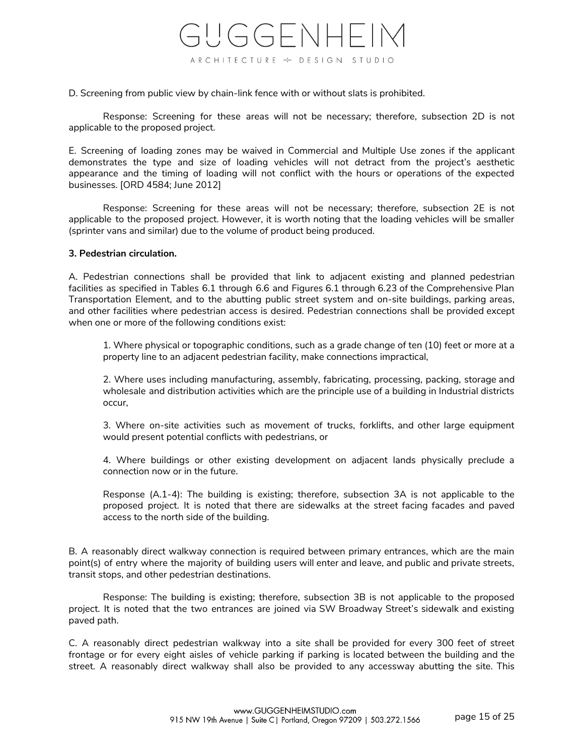

D. Screening from public view by chain-link fence with or without slats is prohibited.

Response: Screening for these areas will not be necessary; therefore, subsection 2D is not applicable to the proposed project.

E. Screening of loading zones may be waived in Commercial and Multiple Use zones if the applicant demonstrates the type and size of loading vehicles will not detract from the project's aesthetic appearance and the timing of loading will not conflict with the hours or operations of the expected businesses. [ORD 4584; June 2012]

Response: Screening for these areas will not be necessary; therefore, subsection 2E is not applicable to the proposed project. However, it is worth noting that the loading vehicles will be smaller (sprinter vans and similar) due to the volume of product being produced.

#### **3. Pedestrian circulation.**

A. Pedestrian connections shall be provided that link to adjacent existing and planned pedestrian facilities as specified in Tables 6.1 through 6.6 and Figures 6.1 through 6.23 of the Comprehensive Plan Transportation Element, and to the abutting public street system and on-site buildings, parking areas, and other facilities where pedestrian access is desired. Pedestrian connections shall be provided except when one or more of the following conditions exist:

1. Where physical or topographic conditions, such as a grade change of ten (10) feet or more at a property line to an adjacent pedestrian facility, make connections impractical,

2. Where uses including manufacturing, assembly, fabricating, processing, packing, storage and wholesale and distribution activities which are the principle use of a building in Industrial districts occur,

3. Where on-site activities such as movement of trucks, forklifts, and other large equipment would present potential conflicts with pedestrians, or

4. Where buildings or other existing development on adjacent lands physically preclude a connection now or in the future.

Response (A.1-4): The building is existing; therefore, subsection 3A is not applicable to the proposed project. It is noted that there are sidewalks at the street facing facades and paved access to the north side of the building.

B. A reasonably direct walkway connection is required between primary entrances, which are the main point(s) of entry where the majority of building users will enter and leave, and public and private streets, transit stops, and other pedestrian destinations.

Response: The building is existing; therefore, subsection 3B is not applicable to the proposed project. It is noted that the two entrances are joined via SW Broadway Street's sidewalk and existing paved path.

C. A reasonably direct pedestrian walkway into a site shall be provided for every 300 feet of street frontage or for every eight aisles of vehicle parking if parking is located between the building and the street. A reasonably direct walkway shall also be provided to any accessway abutting the site. This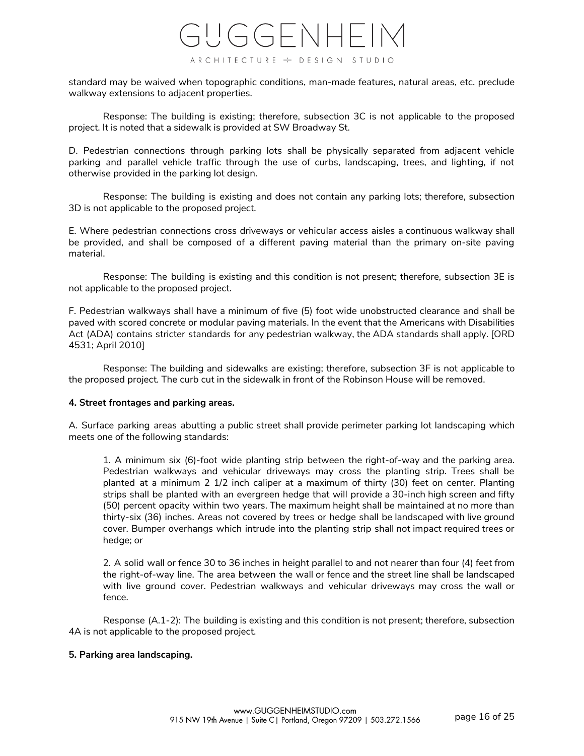standard may be waived when topographic conditions, man-made features, natural areas, etc. preclude walkway extensions to adjacent properties.

Response: The building is existing; therefore, subsection 3C is not applicable to the proposed project. It is noted that a sidewalk is provided at SW Broadway St.

D. Pedestrian connections through parking lots shall be physically separated from adjacent vehicle parking and parallel vehicle traffic through the use of curbs, landscaping, trees, and lighting, if not otherwise provided in the parking lot design.

Response: The building is existing and does not contain any parking lots; therefore, subsection 3D is not applicable to the proposed project.

E. Where pedestrian connections cross driveways or vehicular access aisles a continuous walkway shall be provided, and shall be composed of a different paving material than the primary on-site paving material.

Response: The building is existing and this condition is not present; therefore, subsection 3E is not applicable to the proposed project.

F. Pedestrian walkways shall have a minimum of five (5) foot wide unobstructed clearance and shall be paved with scored concrete or modular paving materials. In the event that the Americans with Disabilities Act (ADA) contains stricter standards for any pedestrian walkway, the ADA standards shall apply. [ORD 4531; April 2010]

Response: The building and sidewalks are existing; therefore, subsection 3F is not applicable to the proposed project. The curb cut in the sidewalk in front of the Robinson House will be removed.

# **4. Street frontages and parking areas.**

A. Surface parking areas abutting a public street shall provide perimeter parking lot landscaping which meets one of the following standards:

1. A minimum six (6)-foot wide planting strip between the right-of-way and the parking area. Pedestrian walkways and vehicular driveways may cross the planting strip. Trees shall be planted at a minimum 2 1/2 inch caliper at a maximum of thirty (30) feet on center. Planting strips shall be planted with an evergreen hedge that will provide a 30-inch high screen and fifty (50) percent opacity within two years. The maximum height shall be maintained at no more than thirty-six (36) inches. Areas not covered by trees or hedge shall be landscaped with live ground cover. Bumper overhangs which intrude into the planting strip shall not impact required trees or hedge; or

2. A solid wall or fence 30 to 36 inches in height parallel to and not nearer than four (4) feet from the right-of-way line. The area between the wall or fence and the street line shall be landscaped with live ground cover. Pedestrian walkways and vehicular driveways may cross the wall or fence.

Response (A.1-2): The building is existing and this condition is not present; therefore, subsection 4A is not applicable to the proposed project.

# **5. Parking area landscaping.**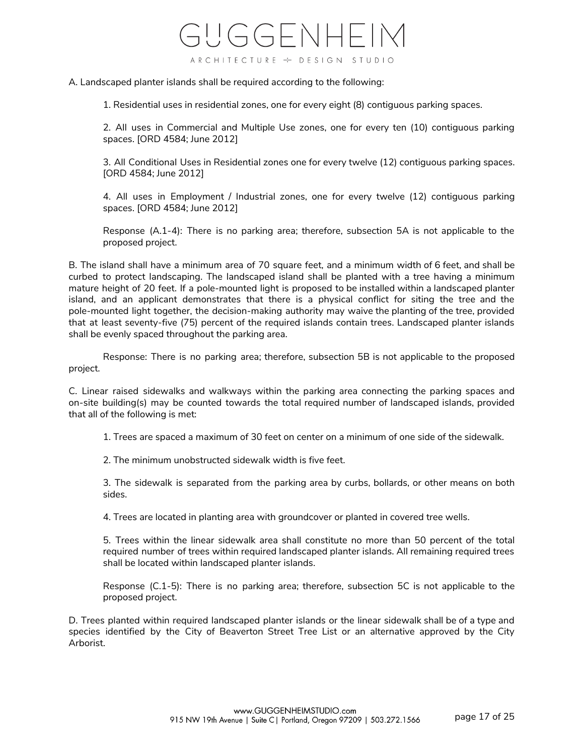A. Landscaped planter islands shall be required according to the following:

1. Residential uses in residential zones, one for every eight (8) contiguous parking spaces.

2. All uses in Commercial and Multiple Use zones, one for every ten (10) contiguous parking spaces. [ORD 4584; June 2012]

3. All Conditional Uses in Residential zones one for every twelve (12) contiguous parking spaces. [ORD 4584; June 2012]

4. All uses in Employment / Industrial zones, one for every twelve (12) contiguous parking spaces. [ORD 4584; June 2012]

Response (A.1-4): There is no parking area; therefore, subsection 5A is not applicable to the proposed project.

B. The island shall have a minimum area of 70 square feet, and a minimum width of 6 feet, and shall be curbed to protect landscaping. The landscaped island shall be planted with a tree having a minimum mature height of 20 feet. If a pole-mounted light is proposed to be installed within a landscaped planter island, and an applicant demonstrates that there is a physical conflict for siting the tree and the pole-mounted light together, the decision-making authority may waive the planting of the tree, provided that at least seventy-five (75) percent of the required islands contain trees. Landscaped planter islands shall be evenly spaced throughout the parking area.

Response: There is no parking area; therefore, subsection 5B is not applicable to the proposed project.

C. Linear raised sidewalks and walkways within the parking area connecting the parking spaces and on-site building(s) may be counted towards the total required number of landscaped islands, provided that all of the following is met:

1. Trees are spaced a maximum of 30 feet on center on a minimum of one side of the sidewalk.

2. The minimum unobstructed sidewalk width is five feet.

3. The sidewalk is separated from the parking area by curbs, bollards, or other means on both sides.

4. Trees are located in planting area with groundcover or planted in covered tree wells.

5. Trees within the linear sidewalk area shall constitute no more than 50 percent of the total required number of trees within required landscaped planter islands. All remaining required trees shall be located within landscaped planter islands.

Response (C.1-5): There is no parking area; therefore, subsection 5C is not applicable to the proposed project.

D. Trees planted within required landscaped planter islands or the linear sidewalk shall be of a type and species identified by the City of Beaverton Street Tree List or an alternative approved by the City Arborist.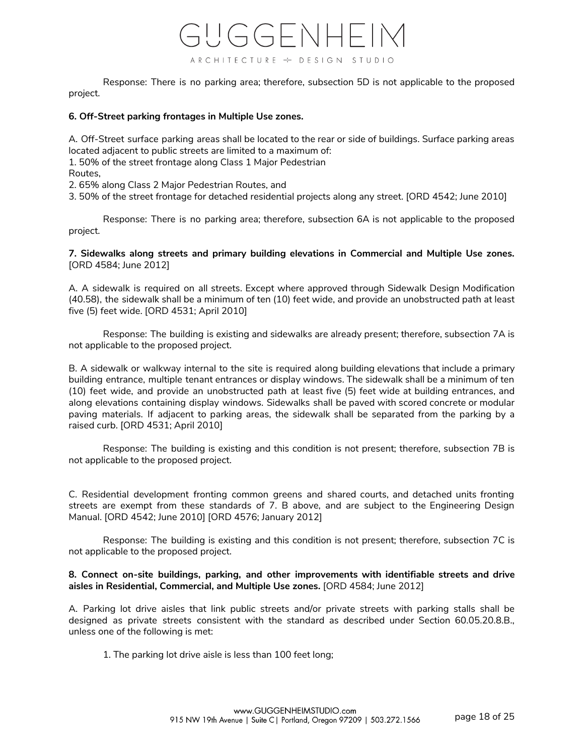Response: There is no parking area; therefore, subsection 5D is not applicable to the proposed project.

# **6. Off-Street parking frontages in Multiple Use zones.**

A. Off-Street surface parking areas shall be located to the rear or side of buildings. Surface parking areas located adjacent to public streets are limited to a maximum of:

1. 50% of the street frontage along Class 1 Major Pedestrian

Routes,

2. 65% along Class 2 Major Pedestrian Routes, and

3. 50% of the street frontage for detached residential projects along any street. [ORD 4542; June 2010]

Response: There is no parking area; therefore, subsection 6A is not applicable to the proposed project.

# **7. Sidewalks along streets and primary building elevations in Commercial and Multiple Use zones.** [ORD 4584; June 2012]

A. A sidewalk is required on all streets. Except where approved through Sidewalk Design Modification (40.58), the sidewalk shall be a minimum of ten (10) feet wide, and provide an unobstructed path at least five (5) feet wide. [ORD 4531; April 2010]

Response: The building is existing and sidewalks are already present; therefore, subsection 7A is not applicable to the proposed project.

B. A sidewalk or walkway internal to the site is required along building elevations that include a primary building entrance, multiple tenant entrances or display windows. The sidewalk shall be a minimum of ten (10) feet wide, and provide an unobstructed path at least five (5) feet wide at building entrances, and along elevations containing display windows. Sidewalks shall be paved with scored concrete or modular paving materials. If adjacent to parking areas, the sidewalk shall be separated from the parking by a raised curb. [ORD 4531; April 2010]

Response: The building is existing and this condition is not present; therefore, subsection 7B is not applicable to the proposed project.

C. Residential development fronting common greens and shared courts, and detached units fronting streets are exempt from these standards of 7. B above, and are subject to the Engineering Design Manual. [ORD 4542; June 2010] [ORD 4576; January 2012]

Response: The building is existing and this condition is not present; therefore, subsection 7C is not applicable to the proposed project.

# **8. Connect on-site buildings, parking, and other improvements with identifiable streets and drive aisles in Residential, Commercial, and Multiple Use zones.** [ORD 4584; June 2012]

A. Parking lot drive aisles that link public streets and/or private streets with parking stalls shall be designed as private streets consistent with the standard as described under Section 60.05.20.8.B., unless one of the following is met:

1. The parking lot drive aisle is less than 100 feet long;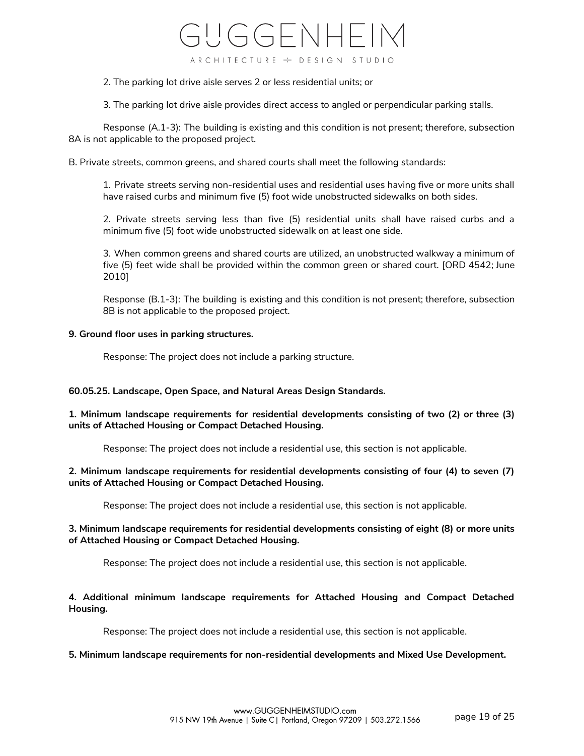2. The parking lot drive aisle serves 2 or less residential units; or

3. The parking lot drive aisle provides direct access to angled or perpendicular parking stalls.

Response (A.1-3): The building is existing and this condition is not present; therefore, subsection 8A is not applicable to the proposed project.

B. Private streets, common greens, and shared courts shall meet the following standards:

1. Private streets serving non-residential uses and residential uses having five or more units shall have raised curbs and minimum five (5) foot wide unobstructed sidewalks on both sides.

2. Private streets serving less than five (5) residential units shall have raised curbs and a minimum five (5) foot wide unobstructed sidewalk on at least one side.

3. When common greens and shared courts are utilized, an unobstructed walkway a minimum of five (5) feet wide shall be provided within the common green or shared court. [ORD 4542; June 2010]

Response (B.1-3): The building is existing and this condition is not present; therefore, subsection 8B is not applicable to the proposed project.

#### **9. Ground floor uses in parking structures.**

Response: The project does not include a parking structure.

# **60.05.25. Landscape, Open Space, and Natural Areas Design Standards.**

**1. Minimum landscape requirements for residential developments consisting of two (2) or three (3) units of Attached Housing or Compact Detached Housing.**

Response: The project does not include a residential use, this section is not applicable.

# **2. Minimum landscape requirements for residential developments consisting of four (4) to seven (7) units of Attached Housing or Compact Detached Housing.**

Response: The project does not include a residential use, this section is not applicable.

# **3. Minimum landscape requirements for residential developments consisting of eight (8) or more units of Attached Housing or Compact Detached Housing.**

Response: The project does not include a residential use, this section is not applicable.

# **4. Additional minimum landscape requirements for Attached Housing and Compact Detached Housing.**

Response: The project does not include a residential use, this section is not applicable.

# **5. Minimum landscape requirements for non-residential developments and Mixed Use Development.**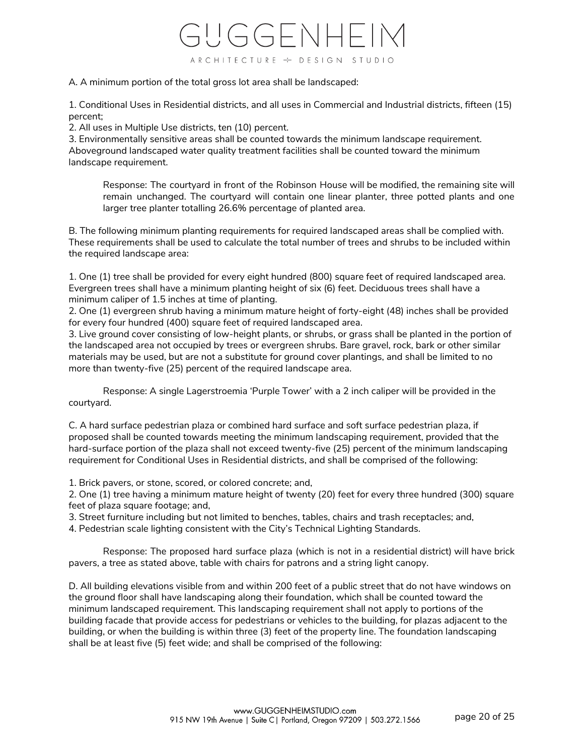A. A minimum portion of the total gross lot area shall be landscaped:

1. Conditional Uses in Residential districts, and all uses in Commercial and Industrial districts, fifteen (15) percent;

2. All uses in Multiple Use districts, ten (10) percent.

3. Environmentally sensitive areas shall be counted towards the minimum landscape requirement. Aboveground landscaped water quality treatment facilities shall be counted toward the minimum landscape requirement.

Response: The courtyard in front of the Robinson House will be modified, the remaining site will remain unchanged. The courtyard will contain one linear planter, three potted plants and one larger tree planter totalling 26.6% percentage of planted area.

B. The following minimum planting requirements for required landscaped areas shall be complied with. These requirements shall be used to calculate the total number of trees and shrubs to be included within the required landscape area:

1. One (1) tree shall be provided for every eight hundred (800) square feet of required landscaped area. Evergreen trees shall have a minimum planting height of six (6) feet. Deciduous trees shall have a minimum caliper of 1.5 inches at time of planting.

2. One (1) evergreen shrub having a minimum mature height of forty-eight (48) inches shall be provided for every four hundred (400) square feet of required landscaped area.

3. Live ground cover consisting of low-height plants, or shrubs, or grass shall be planted in the portion of the landscaped area not occupied by trees or evergreen shrubs. Bare gravel, rock, bark or other similar materials may be used, but are not a substitute for ground cover plantings, and shall be limited to no more than twenty-five (25) percent of the required landscape area.

Response: A single Lagerstroemia 'Purple Tower' with a 2 inch caliper will be provided in the courtyard.

C. A hard surface pedestrian plaza or combined hard surface and soft surface pedestrian plaza, if proposed shall be counted towards meeting the minimum landscaping requirement, provided that the hard-surface portion of the plaza shall not exceed twenty-five (25) percent of the minimum landscaping requirement for Conditional Uses in Residential districts, and shall be comprised of the following:

1. Brick pavers, or stone, scored, or colored concrete; and,

2. One (1) tree having a minimum mature height of twenty (20) feet for every three hundred (300) square feet of plaza square footage; and,

3. Street furniture including but not limited to benches, tables, chairs and trash receptacles; and,

4. Pedestrian scale lighting consistent with the City's Technical Lighting Standards.

Response: The proposed hard surface plaza (which is not in a residential district) will have brick pavers, a tree as stated above, table with chairs for patrons and a string light canopy.

D. All building elevations visible from and within 200 feet of a public street that do not have windows on the ground floor shall have landscaping along their foundation, which shall be counted toward the minimum landscaped requirement. This landscaping requirement shall not apply to portions of the building facade that provide access for pedestrians or vehicles to the building, for plazas adjacent to the building, or when the building is within three (3) feet of the property line. The foundation landscaping shall be at least five (5) feet wide; and shall be comprised of the following: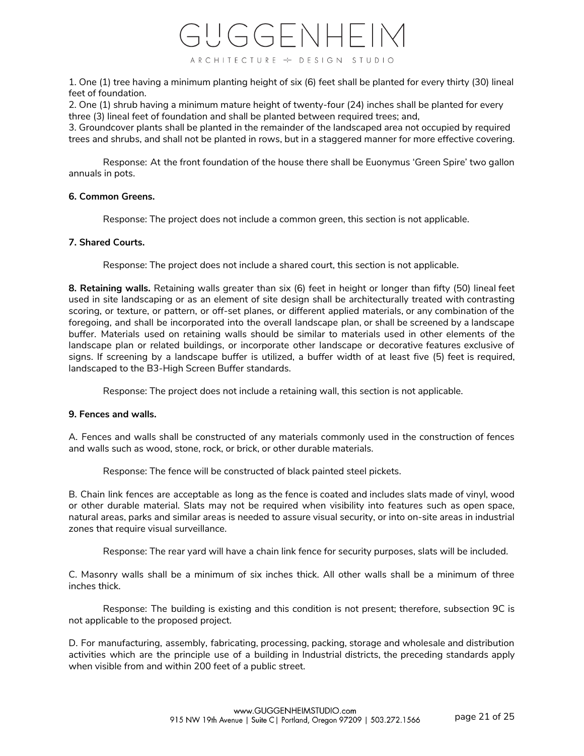

1. One (1) tree having a minimum planting height of six (6) feet shall be planted for every thirty (30) lineal feet of foundation.

2. One (1) shrub having a minimum mature height of twenty-four (24) inches shall be planted for every three (3) lineal feet of foundation and shall be planted between required trees; and,

3. Groundcover plants shall be planted in the remainder of the landscaped area not occupied by required trees and shrubs, and shall not be planted in rows, but in a staggered manner for more effective covering.

Response: At the front foundation of the house there shall be Euonymus 'Green Spire' two gallon annuals in pots.

# **6. Common Greens.**

Response: The project does not include a common green, this section is not applicable.

#### **7. Shared Courts.**

Response: The project does not include a shared court, this section is not applicable.

**8. Retaining walls.** Retaining walls greater than six (6) feet in height or longer than fifty (50) lineal feet used in site landscaping or as an element of site design shall be architecturally treated with contrasting scoring, or texture, or pattern, or off-set planes, or different applied materials, or any combination of the foregoing, and shall be incorporated into the overall landscape plan, or shall be screened by a landscape buffer. Materials used on retaining walls should be similar to materials used in other elements of the landscape plan or related buildings, or incorporate other landscape or decorative features exclusive of signs. If screening by a landscape buffer is utilized, a buffer width of at least five (5) feet is required, landscaped to the B3-High Screen Buffer standards.

Response: The project does not include a retaining wall, this section is not applicable.

# **9. Fences and walls.**

A. Fences and walls shall be constructed of any materials commonly used in the construction of fences and walls such as wood, stone, rock, or brick, or other durable materials.

Response: The fence will be constructed of black painted steel pickets.

B. Chain link fences are acceptable as long as the fence is coated and includes slats made of vinyl, wood or other durable material. Slats may not be required when visibility into features such as open space, natural areas, parks and similar areas is needed to assure visual security, or into on-site areas in industrial zones that require visual surveillance.

Response: The rear yard will have a chain link fence for security purposes, slats will be included.

C. Masonry walls shall be a minimum of six inches thick. All other walls shall be a minimum of three inches thick.

Response: The building is existing and this condition is not present; therefore, subsection 9C is not applicable to the proposed project.

D. For manufacturing, assembly, fabricating, processing, packing, storage and wholesale and distribution activities which are the principle use of a building in Industrial districts, the preceding standards apply when visible from and within 200 feet of a public street.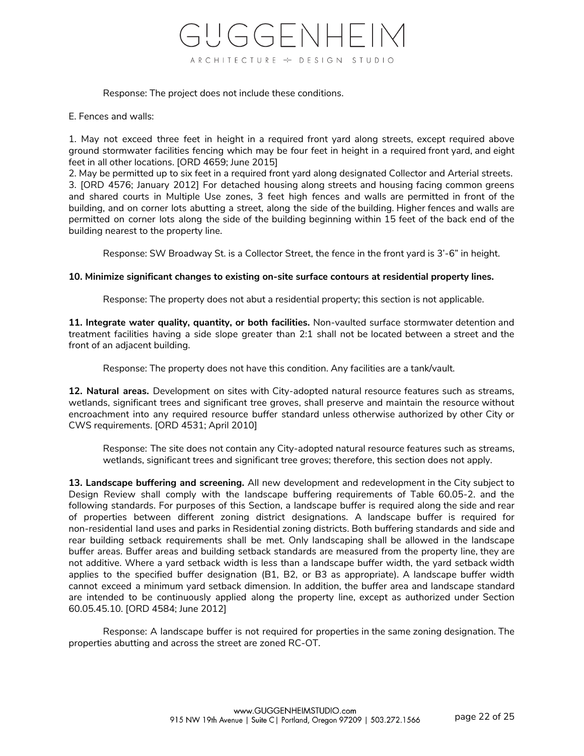

Response: The project does not include these conditions.

E. Fences and walls:

1. May not exceed three feet in height in a required front yard along streets, except required above ground stormwater facilities fencing which may be four feet in height in a required front yard, and eight feet in all other locations. [ORD 4659; June 2015]

2. May be permitted up to six feet in a required front yard along designated Collector and Arterial streets. 3. [ORD 4576; January 2012] For detached housing along streets and housing facing common greens and shared courts in Multiple Use zones, 3 feet high fences and walls are permitted in front of the building, and on corner lots abutting a street, along the side of the building. Higher fences and walls are permitted on corner lots along the side of the building beginning within 15 feet of the back end of the building nearest to the property line.

Response: SW Broadway St. is a Collector Street, the fence in the front yard is 3'-6" in height.

# **10. Minimize significant changes to existing on-site surface contours at residential property lines.**

Response: The property does not abut a residential property; this section is not applicable.

**11. Integrate water quality, quantity, or both facilities.** Non-vaulted surface stormwater detention and treatment facilities having a side slope greater than 2:1 shall not be located between a street and the front of an adjacent building.

Response: The property does not have this condition. Any facilities are a tank/vault.

**12. Natural areas.** Development on sites with City-adopted natural resource features such as streams, wetlands, significant trees and significant tree groves, shall preserve and maintain the resource without encroachment into any required resource buffer standard unless otherwise authorized by other City or CWS requirements. [ORD 4531; April 2010]

Response: The site does not contain any City-adopted natural resource features such as streams, wetlands, significant trees and significant tree groves; therefore, this section does not apply.

**13. Landscape buffering and screening.** All new development and redevelopment in the City subject to Design Review shall comply with the landscape buffering requirements of Table 60.05-2. and the following standards. For purposes of this Section, a landscape buffer is required along the side and rear of properties between different zoning district designations. A landscape buffer is required for non-residential land uses and parks in Residential zoning districts. Both buffering standards and side and rear building setback requirements shall be met. Only landscaping shall be allowed in the landscape buffer areas. Buffer areas and building setback standards are measured from the property line, they are not additive. Where a yard setback width is less than a landscape buffer width, the yard setback width applies to the specified buffer designation (B1, B2, or B3 as appropriate). A landscape buffer width cannot exceed a minimum yard setback dimension. In addition, the buffer area and landscape standard are intended to be continuously applied along the property line, except as authorized under Section 60.05.45.10. [ORD 4584; June 2012]

Response: A landscape buffer is not required for properties in the same zoning designation. The properties abutting and across the street are zoned RC-OT.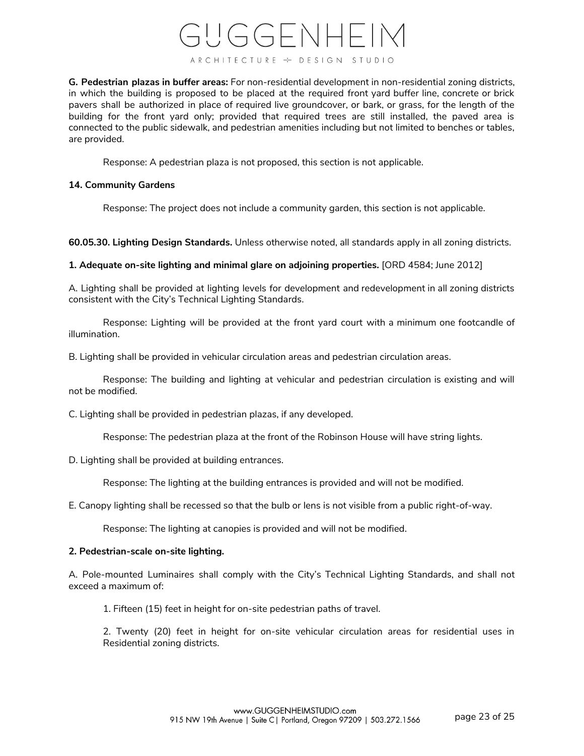**G. Pedestrian plazas in buffer areas:** For non-residential development in non-residential zoning districts, in which the building is proposed to be placed at the required front yard buffer line, concrete or brick pavers shall be authorized in place of required live groundcover, or bark, or grass, for the length of the building for the front yard only; provided that required trees are still installed, the paved area is connected to the public sidewalk, and pedestrian amenities including but not limited to benches or tables, are provided.

Response: A pedestrian plaza is not proposed, this section is not applicable.

# **14. Community Gardens**

Response: The project does not include a community garden, this section is not applicable.

**60.05.30. Lighting Design Standards.** Unless otherwise noted, all standards apply in all zoning districts.

**1. Adequate on-site lighting and minimal glare on adjoining properties.** [ORD 4584; June 2012]

A. Lighting shall be provided at lighting levels for development and redevelopment in all zoning districts consistent with the City's Technical Lighting Standards.

Response: Lighting will be provided at the front yard court with a minimum one footcandle of illumination.

B. Lighting shall be provided in vehicular circulation areas and pedestrian circulation areas.

Response: The building and lighting at vehicular and pedestrian circulation is existing and will not be modified.

C. Lighting shall be provided in pedestrian plazas, if any developed.

Response: The pedestrian plaza at the front of the Robinson House will have string lights.

D. Lighting shall be provided at building entrances.

Response: The lighting at the building entrances is provided and will not be modified.

E. Canopy lighting shall be recessed so that the bulb or lens is not visible from a public right-of-way.

Response: The lighting at canopies is provided and will not be modified.

# **2. Pedestrian-scale on-site lighting.**

A. Pole-mounted Luminaires shall comply with the City's Technical Lighting Standards, and shall not exceed a maximum of:

1. Fifteen (15) feet in height for on-site pedestrian paths of travel.

2. Twenty (20) feet in height for on-site vehicular circulation areas for residential uses in Residential zoning districts.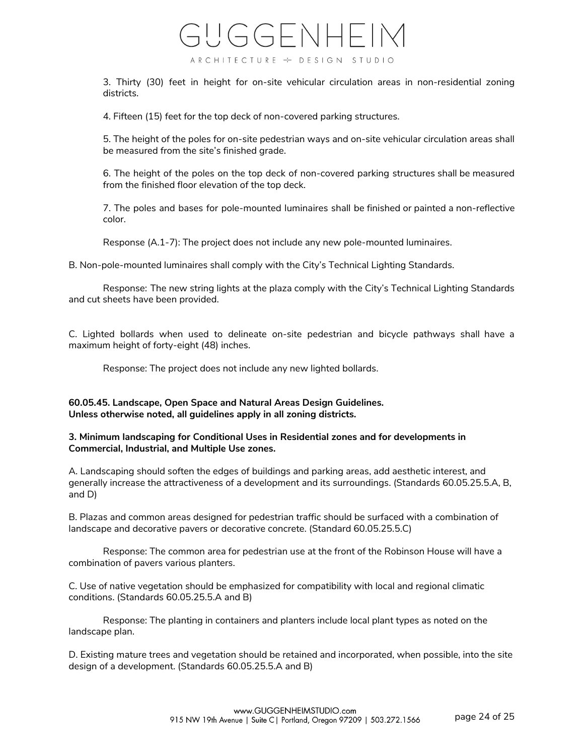3. Thirty (30) feet in height for on-site vehicular circulation areas in non-residential zoning districts.

4. Fifteen (15) feet for the top deck of non-covered parking structures.

5. The height of the poles for on-site pedestrian ways and on-site vehicular circulation areas shall be measured from the site's finished grade.

6. The height of the poles on the top deck of non-covered parking structures shall be measured from the finished floor elevation of the top deck.

7. The poles and bases for pole-mounted luminaires shall be finished or painted a non-reflective color.

Response (A.1-7): The project does not include any new pole-mounted luminaires.

B. Non-pole-mounted luminaires shall comply with the City's Technical Lighting Standards.

Response: The new string lights at the plaza comply with the City's Technical Lighting Standards and cut sheets have been provided.

C. Lighted bollards when used to delineate on-site pedestrian and bicycle pathways shall have a maximum height of forty-eight (48) inches.

Response: The project does not include any new lighted bollards.

# **60.05.45. Landscape, Open Space and Natural Areas Design Guidelines. Unless otherwise noted, all guidelines apply in all zoning districts.**

# **3. Minimum landscaping for Conditional Uses in Residential zones and for developments in Commercial, Industrial, and Multiple Use zones.**

A. Landscaping should soften the edges of buildings and parking areas, add aesthetic interest, and generally increase the attractiveness of a development and its surroundings. (Standards 60.05.25.5.A, B, and D)

B. Plazas and common areas designed for pedestrian traffic should be surfaced with a combination of landscape and decorative pavers or decorative concrete. (Standard 60.05.25.5.C)

Response: The common area for pedestrian use at the front of the Robinson House will have a combination of pavers various planters.

C. Use of native vegetation should be emphasized for compatibility with local and regional climatic conditions. (Standards 60.05.25.5.A and B)

Response: The planting in containers and planters include local plant types as noted on the landscape plan.

D. Existing mature trees and vegetation should be retained and incorporated, when possible, into the site design of a development. (Standards 60.05.25.5.A and B)